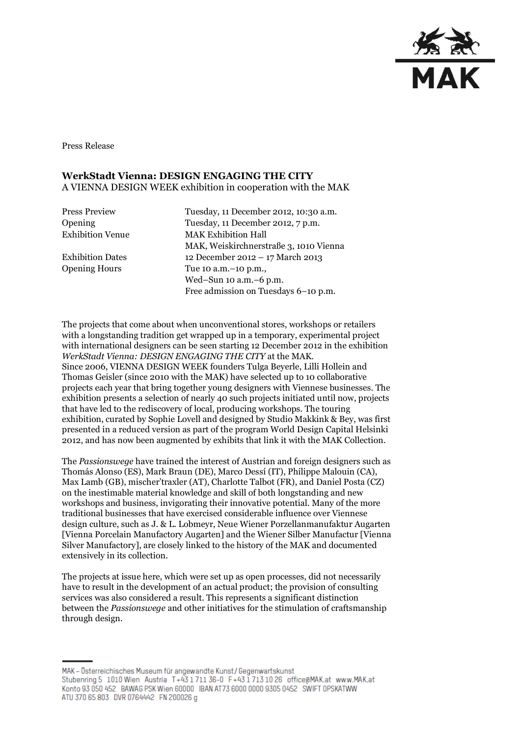

Press Release

# **WerkStadt Vienna: DESIGN ENGAGING THE CITY** A VIENNA DESIGN WEEK exhibition in cooperation with the MAK

Press Preview Tuesday, 11 December 2012, 10:30 a.m. Opening Tuesday, 11 December 2012, 7 p.m. Exhibition Venue MAK Exhibition Hall MAK, Weiskirchnerstraße 3, 1010 Vienna Exhibition Dates 12 December 2012 – 17 March 2013 Opening Hours Tue 10 a.m.–10 p.m., Wed–Sun 10 a.m.–6 p.m. Free admission on Tuesdays 6–10 p.m.

The projects that come about when unconventional stores, workshops or retailers with a longstanding tradition get wrapped up in a temporary, experimental project with international designers can be seen starting 12 December 2012 in the exhibition *WerkStadt Vienna: DESIGN ENGAGING THE CITY* at the MAK. Since 2006, VIENNA DESIGN WEEK founders Tulga Beyerle, Lilli Hollein and Thomas Geisler (since 2010 with the MAK) have selected up to 10 collaborative projects each year that bring together young designers with Viennese businesses. The exhibition presents a selection of nearly 40 such projects initiated until now, projects that have led to the rediscovery of local, producing workshops. The touring exhibition, curated by Sophie Lovell and designed by Studio Makkink & Bey, was first presented in a reduced version as part of the program World Design Capital Helsinki 2012, and has now been augmented by exhibits that link it with the MAK Collection.

The *Passionswege* have trained the interest of Austrian and foreign designers such as Thomás Alonso (ES), Mark Braun (DE), Marco Dessí (IT), Philippe Malouin (CA), Max Lamb (GB), mischer'traxler (AT), Charlotte Talbot (FR), and Daniel Posta (CZ) on the inestimable material knowledge and skill of both longstanding and new workshops and business, invigorating their innovative potential. Many of the more traditional businesses that have exercised considerable influence over Viennese design culture, such as J. & L. Lobmeyr, Neue Wiener Porzellanmanufaktur Augarten [Vienna Porcelain Manufactory Augarten] and the Wiener Silber Manufactur [Vienna Silver Manufactory], are closely linked to the history of the MAK and documented extensively in its collection.

The projects at issue here, which were set up as open processes, did not necessarily have to result in the development of an actual product; the provision of consulting services was also considered a result. This represents a significant distinction between the *Passionswege* and other initiatives for the stimulation of craftsmanship through design.

MAK - Österreichisches Museum für angewandte Kunst/Gegenwartskunst Stubenring 5 1010 Wien Austria T+43 1711 36-0 F+43 1713 10 26 office@MAK.at www.MAK.at Konto 93 050 452 BAWAG PSK Wien 60000 BAN AT73 6000 0000 9305 0452 SWIFT 0PSKATWW ATU 370 65 803 DVR 0764442 FN 200026 g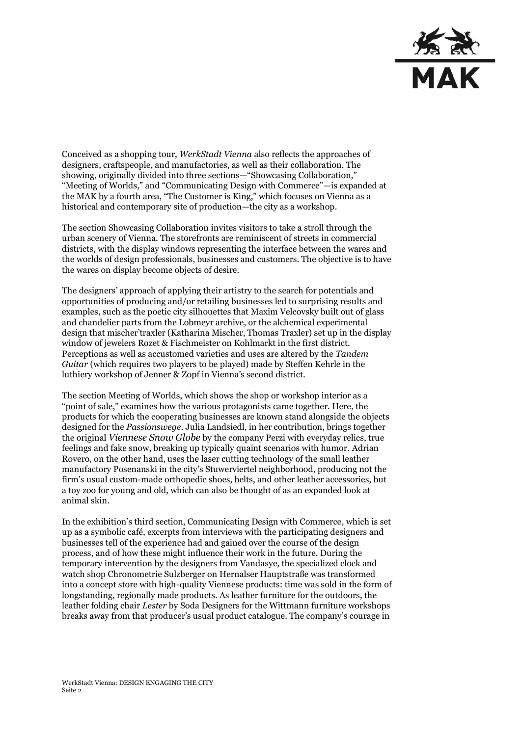

Conceived as a shopping tour, *WerkStadt Vienna* also reflects the approaches of designers, craftspeople, and manufactories, as well as their collaboration. The showing, originally divided into three sections—"Showcasing Collaboration," "Meeting of Worlds," and "Communicating Design with Commerce"—is expanded at the MAK by a fourth area, "The Customer is King," which focuses on Vienna as a historical and contemporary site of production—the city as a workshop.

The section Showcasing Collaboration invites visitors to take a stroll through the urban scenery of Vienna. The storefronts are reminiscent of streets in commercial districts, with the display windows representing the interface between the wares and the worlds of design professionals, businesses and customers. The objective is to have the wares on display become objects of desire.

The designers' approach of applying their artistry to the search for potentials and opportunities of producing and/or retailing businesses led to surprising results and examples, such as the poetic city silhouettes that Maxim Velcovsky built out of glass and chandelier parts from the Lobmeyr archive, or the alchemical experimental design that mischer'traxler (Katharina Mischer, Thomas Traxler) set up in the display window of jewelers Rozet & Fischmeister on Kohlmarkt in the first district. Perceptions as well as accustomed varieties and uses are altered by the *Tandem Guitar* (which requires two players to be played) made by Steffen Kehrle in the luthiery workshop of Jenner & Zopf in Vienna's second district.

The section Meeting of Worlds, which shows the shop or workshop interior as a "point of sale," examines how the various protagonists came together. Here, the products for which the cooperating businesses are known stand alongside the objects designed for the *Passionswege*. Julia Landsiedl, in her contribution, brings together the original *Viennese Snow Globe* by the company Perzi with everyday relics, true feelings and fake snow, breaking up typically quaint scenarios with humor. Adrian Rovero, on the other hand, uses the laser cutting technology of the small leather manufactory Posenanski in the city's Stuwerviertel neighborhood, producing not the firm's usual custom-made orthopedic shoes, belts, and other leather accessories, but a toy zoo for young and old, which can also be thought of as an expanded look at animal skin.

In the exhibition's third section, Communicating Design with Commerce*,* which is set up as a symbolic café, excerpts from interviews with the participating designers and businesses tell of the experience had and gained over the course of the design process, and of how these might influence their work in the future. During the temporary intervention by the designers from Vandasye, the specialized clock and watch shop Chronometrie Sulzberger on Hernalser Hauptstraße was transformed into a concept store with high-quality Viennese products: time was sold in the form of longstanding, regionally made products. As leather furniture for the outdoors, the leather folding chair *Lester* by Soda Designers for the Wittmann furniture workshops breaks away from that producer's usual product catalogue. The company's courage in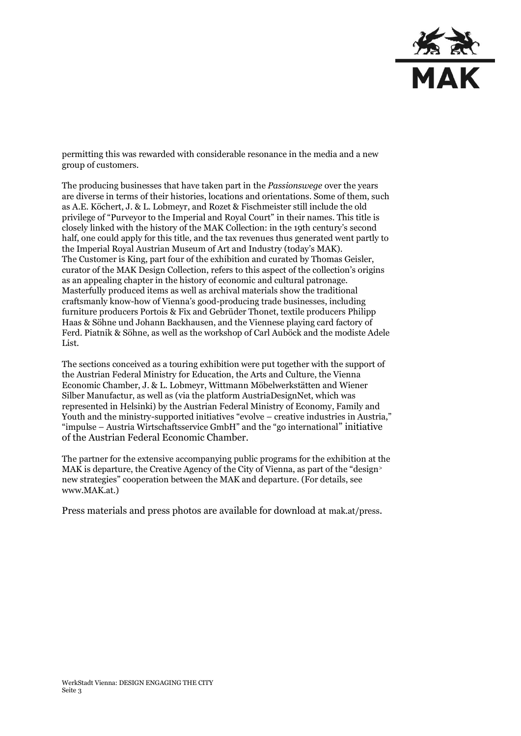

permitting this was rewarded with considerable resonance in the media and a new group of customers.

The producing businesses that have taken part in the *Passionswege* over the years are diverse in terms of their histories, locations and orientations. Some of them, such as A.E. Köchert, J. & L. Lobmeyr, and Rozet & Fischmeister still include the old privilege of "Purveyor to the Imperial and Royal Court" in their names. This title is closely linked with the history of the MAK Collection: in the 19th century's second half, one could apply for this title, and the tax revenues thus generated went partly to the Imperial Royal Austrian Museum of Art and Industry (today's MAK). The Customer is King, part four of the exhibition and curated by Thomas Geisler, curator of the MAK Design Collection, refers to this aspect of the collection's origins as an appealing chapter in the history of economic and cultural patronage. Masterfully produced items as well as archival materials show the traditional craftsmanly know-how of Vienna's good-producing trade businesses, including furniture producers Portois & Fix and Gebrüder Thonet, textile producers Philipp Haas & Söhne und Johann Backhausen, and the Viennese playing card factory of Ferd. Piatnik & Söhne, as well as the workshop of Carl Auböck and the modiste Adele List.

The sections conceived as a touring exhibition were put together with the support of the Austrian Federal Ministry for Education, the Arts and Culture, the Vienna Economic Chamber, J. & L. Lobmeyr, Wittmann Möbelwerkstätten and Wiener Silber Manufactur, as well as (via the platform AustriaDesignNet, which was represented in Helsinki) by the Austrian Federal Ministry of Economy, Family and Youth and the ministry-supported initiatives "evolve – creative industries in Austria," "impulse – Austria Wirtschaftsservice GmbH" and the "go international" initiative of the Austrian Federal Economic Chamber.

The partner for the extensive accompanying public programs for the exhibition at the MAK is departure, the Creative Agency of the City of Vienna, as part of the "design> new strategies" cooperation between the MAK and departure*.* (For details, see www.MAK.at.)

Press materials and press photos are available for download at mak.at/press.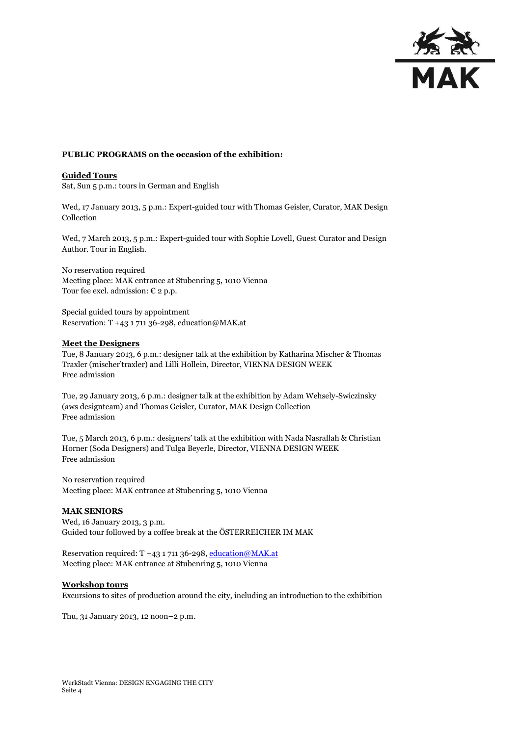

### **PUBLIC PROGRAMS on the occasion of the exhibition:**

### **Guided Tours**

Sat, Sun 5 p.m.: tours in German and English

Wed, 17 January 2013, 5 p.m.: Expert-guided tour with Thomas Geisler, Curator, MAK Design Collection

Wed, 7 March 2013, 5 p.m.: Expert-guided tour with Sophie Lovell, Guest Curator and Design Author. Tour in English.

No reservation required Meeting place: MAK entrance at Stubenring 5, 1010 Vienna Tour fee excl. admission:  $\epsilon$  2 p.p.

Special guided tours by appointment Reservation: T +43 1 711 36-298, education@MAK.at

#### **Meet the Designers**

Tue, 8 January 2013, 6 p.m.: designer talk at the exhibition by Katharina Mischer & Thomas Traxler (mischer'traxler) and Lilli Hollein, Director, VIENNA DESIGN WEEK Free admission

Tue, 29 January 2013, 6 p.m.: designer talk at the exhibition by Adam Wehsely-Swiczinsky (aws designteam) and Thomas Geisler, Curator, MAK Design Collection Free admission

Tue, 5 March 2013, 6 p.m.: designers' talk at the exhibition with Nada Nasrallah & Christian Horner (Soda Designers) and Tulga Beyerle, Director, VIENNA DESIGN WEEK Free admission

No reservation required Meeting place: MAK entrance at Stubenring 5, 1010 Vienna

### **MAK SENIORS**

Wed, 16 January 2013, 3 p.m. Guided tour followed by a coffee break at the ÖSTERREICHER IM MAK

Reservation required: T +43 1 711 36-298[, education@MAK.at](mailto:education@MAK.at) Meeting place: MAK entrance at Stubenring 5, 1010 Vienna

#### **Workshop tours**

Excursions to sites of production around the city, including an introduction to the exhibition

Thu, 31 January 2013, 12 noon–2 p.m.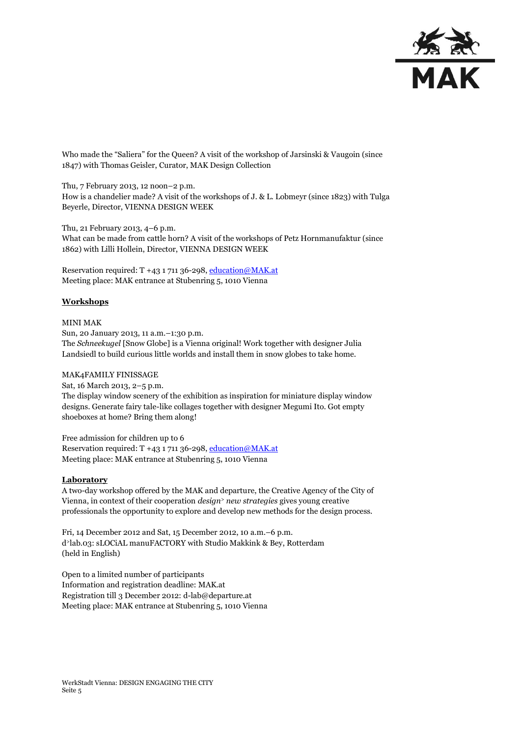

Who made the "Saliera" for the Queen? A visit of the workshop of Jarsinski & Vaugoin (since 1847) with Thomas Geisler, Curator, MAK Design Collection

Thu, 7 February 2013, 12 noon–2 p.m. How is a chandelier made? A visit of the workshops of J. & L. Lobmeyr (since 1823) with Tulga Beyerle, Director, VIENNA DESIGN WEEK

Thu, 21 February 2013, 4–6 p.m. What can be made from cattle horn? A visit of the workshops of Petz Hornmanufaktur (since 1862) with Lilli Hollein, Director, VIENNA DESIGN WEEK

Reservation required:  $T +43171136-298$ [, education@MAK.at](mailto:education@MAK.at) Meeting place: MAK entrance at Stubenring 5, 1010 Vienna

## **Workshops**

MINI MAK Sun, 20 January 2013, 11 a.m.–1:30 p.m. The *Schneekugel* [Snow Globe] is a Vienna original! Work together with designer Julia Landsiedl to build curious little worlds and install them in snow globes to take home.

### MAK4FAMILY FINISSAGE

Sat, 16 March 2013, 2–5 p.m. The display window scenery of the exhibition as inspiration for miniature display window designs. Generate fairy tale-like collages together with designer Megumi Ito. Got empty shoeboxes at home? Bring them along!

Free admission for children up to 6 Reservation required:  $T +43171136-298$ [, education@MAK.at](mailto:education@MAK.at) Meeting place: MAK entrance at Stubenring 5, 1010 Vienna

### **Laboratory**

A two-day workshop offered by the MAK and departure, the Creative Agency of the City of Vienna, in context of their cooperation *design<sup>&</sup>gt; new strategies* gives young creative professionals the opportunity to explore and develop new methods for the design process.

Fri, 14 December 2012 and Sat, 15 December 2012, 10 a.m.–6 p.m. d <sup>&</sup>gt;lab.03: sLOCiAL manuFACTORY with Studio Makkink & Bey, Rotterdam (held in English)

Open to a limited number of participants Information and registration deadline: MAK.at Registration till 3 December 2012[: d-lab@departure.at](mailto:d-lab@departure.at) Meeting place: MAK entrance at Stubenring 5, 1010 Vienna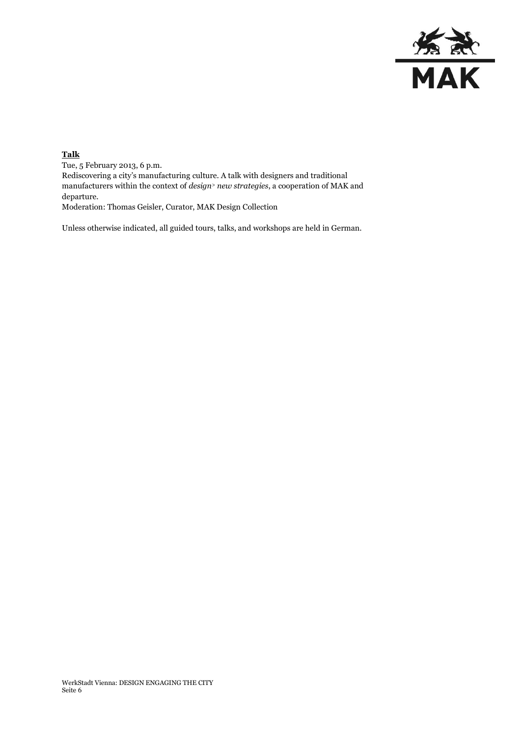

## **Talk**

Tue, 5 February 2013, 6 p.m. Rediscovering a city's manufacturing culture. A talk with designers and traditional manufacturers within the context of *design<sup>&</sup>gt; new strategies*, a cooperation of MAK and departure. Moderation: Thomas Geisler, Curator, MAK Design Collection

Unless otherwise indicated, all guided tours, talks, and workshops are held in German.